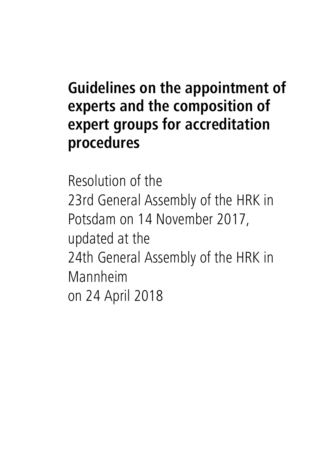## **Guidelines on the appointment of experts and the composition of expert groups for accreditation procedures**

Resolution of the 23rd General Assembly of the HRK in Potsdam on 14 November 2017, updated at the 24th General Assembly of the HRK in Mannheim on 24 April 2018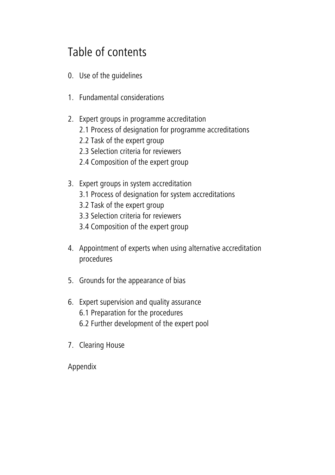### Table of contents

- 0. [Use of the guidelines](#page-2-0)
- 1. [Fundamental considerations](#page-2-1)
- 2. [Expert groups in programme accreditation](#page-4-0) [2.1 Process of designation for programme accreditations](#page-4-1) [2.2 Task of the expert group](#page-5-0) [2.3 Selection criteria for reviewers](#page-6-0) [2.4 Composition of the expert group](#page-8-0)
- 3. [Expert groups in system accreditation](#page-9-0) [3.1 Process of designation for system accreditations](#page-9-1) [3.2 Task of the expert group](#page-10-0) [3.3 Selection criteria for reviewers](#page-11-0) [3.4 Composition of the expert group](#page-12-0)
- 4. [Appointment of experts when using alternative accreditation](#page-13-0)  [procedures](#page-13-0)
- 5. [Grounds for the appearance of bias](#page-14-0)
- 6. [Expert supervision and quality assurance](#page-15-0) [6.1 Preparation for the procedures](#page-15-1) [6.2 Further development of the expert pool](#page-16-0)
- 7. [Clearing House](#page-17-0)

[Appendix](#page-18-0)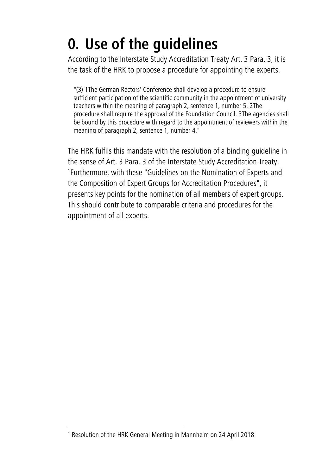# <span id="page-2-0"></span>**0. Use of the guidelines**

According to the Interstate Study Accreditation Treaty Art. 3 Para. 3, it is the task of the HRK to propose a procedure for appointing the experts.

"(3) 1The German Rectors' Conference shall develop a procedure to ensure sufficient participation of the scientific community in the appointment of university teachers within the meaning of paragraph 2, sentence 1, number 5. 2The procedure shall require the approval of the Foundation Council. 3The agencies shall be bound by this procedure with regard to the appointment of reviewers within the meaning of paragraph 2, sentence 1, number 4."

<span id="page-2-1"></span>The HRK fulfils this mandate with the resolution of a binding guideline in the sense of Art. 3 Para. 3 of the Interstate Study Accreditation Treaty. 1 Furthermore, with these "Guidelines on the Nomination of Experts and the Composition of Expert Groups for Accreditation Procedures", it presents key points for the nomination of all members of expert groups. This should contribute to comparable criteria and procedures for the appointment of all experts.

<sup>&</sup>lt;sup>1</sup> Resolution of the HRK General Meeting in Mannheim on 24 April 2018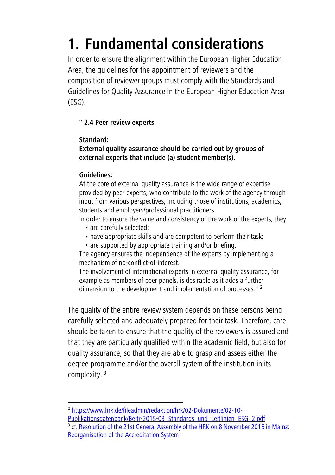# **1. Fundamental considerations**

In order to ensure the alignment within the European Higher Education Area, the guidelines for the appointment of reviewers and the composition of reviewer groups must comply with the Standards and Guidelines for Quality Assurance in the European Higher Education Area (ESG).

#### **" 2.4 Peer review experts**

#### **Standard:**

#### **External quality assurance should be carried out by groups of external experts that include (a) student member(s).**

#### **Guidelines:**

At the core of external quality assurance is the wide range of expertise provided by peer experts, who contribute to the work of the agency through input from various perspectives, including those of institutions, academics, students and employers/professional practitioners.

In order to ensure the value and consistency of the work of the experts, they

- are carefully selected;
- have appropriate skills and are competent to perform their task;
- are supported by appropriate training and/or briefing.

The agency ensures the independence of the experts by implementing a mechanism of no-conflict-of-interest.

The involvement of international experts in external quality assurance, for example as members of peer panels, is desirable as it adds a further dimension to the development and implementation of processes."<sup>2</sup>

The quality of the entire review system depends on these persons being carefully selected and adequately prepared for their task. Therefore, care should be taken to ensure that the quality of the reviewers is assured and that they are particularly qualified within the academic field, but also for quality assurance, so that they are able to grasp and assess either the degree programme and/or the overall system of the institution in its complexity. <sup>3</sup>

<sup>2</sup> [https://www.hrk.de/fileadmin/redaktion/hrk/02-Dokumente/02-10-](https://www.hrk.de/fileadmin/redaktion/hrk/02-Dokumente/02-10-Publikationsdatenbank/Beitr-2015-03_Standards_und_Leitlinien_ESG_2.pdf)

[Publikationsdatenbank/Beitr-2015-03\\_Standards\\_und\\_Leitlinien\\_ESG\\_2.pdf](https://www.hrk.de/fileadmin/redaktion/hrk/02-Dokumente/02-10-Publikationsdatenbank/Beitr-2015-03_Standards_und_Leitlinien_ESG_2.pdf) <sup>3</sup> [c](https://www.hrk.de/fileadmin/_migrated/content_uploads/Entschliessung_Akkreditierung_08112016.pdf)f. Resolution of the 21st General Assembly of the HRK on 8 November 2016 in Mainz: [Reorganisation of the Accreditation System](https://www.hrk.de/fileadmin/_migrated/content_uploads/Entschliessung_Akkreditierung_08112016.pdf)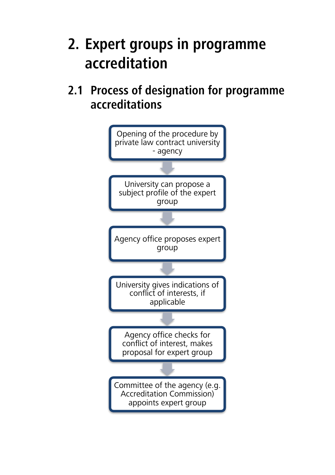## <span id="page-4-0"></span>**2. Expert groups in programme accreditation**

<span id="page-4-1"></span>**2.1 Process of designation for programme accreditations** 

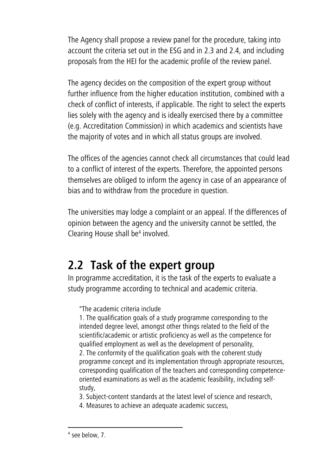The Agency shall propose a review panel for the procedure, taking into account the criteria set out in the ESG and in 2.3 and 2.4, and including proposals from the HEI for the academic profile of the review panel.

The agency decides on the composition of the expert group without further influence from the higher education institution, combined with a check of conflict of interests, if applicable. The right to select the experts lies solely with the agency and is ideally exercised there by a committee (e.g. Accreditation Commission) in which academics and scientists have the majority of votes and in which all status groups are involved.

The offices of the agencies cannot check all circumstances that could lead to a conflict of interest of the experts. Therefore, the appointed persons themselves are obliged to inform the agency in case of an appearance of bias and to withdraw from the procedure in question.

The universities may lodge a complaint or an appeal. If the differences of opinion between the agency and the university cannot be settled, the Clearing House shall be<sup>4</sup> involved.

### <span id="page-5-0"></span>**2.2 Task of the expert group**

In programme accreditation, it is the task of the experts to evaluate a study programme according to technical and academic criteria.

"The academic criteria include

1. The qualification goals of a study programme corresponding to the intended degree level, amongst other things related to the field of the scientific/academic or artistic proficiency as well as the competence for qualified employment as well as the development of personality, 2. The conformity of the qualification goals with the coherent study programme concept and its implementation through appropriate resources, corresponding qualification of the teachers and corresponding competenceoriented examinations as well as the academic feasibility, including selfstudy,

3. Subject-content standards at the latest level of science and research,

4. Measures to achieve an adequate academic success,

<sup>4</sup> see below, 7.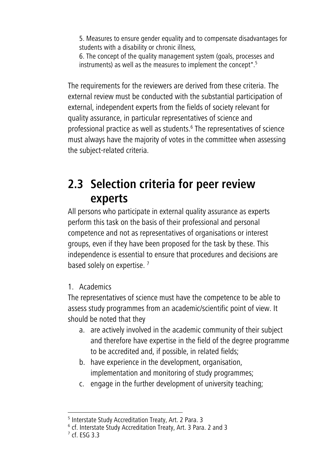5. Measures to ensure gender equality and to compensate disadvantages for students with a disability or chronic illness, 6. The concept of the quality management system (goals, processes and

instruments) as well as the measures to implement the concept".<sup>5</sup>

The requirements for the reviewers are derived from these criteria. The external review must be conducted with the substantial participation of external, independent experts from the fields of society relevant for quality assurance, in particular representatives of science and professional practice as well as students. 6 The representatives of science must always have the majority of votes in the committee when assessing the subject-related criteria.

### <span id="page-6-0"></span>**2.3 Selection criteria for peer review experts**

All persons who participate in external quality assurance as experts perform this task on the basis of their professional and personal competence and not as representatives of organisations or interest groups, even if they have been proposed for the task by these. This independence is essential to ensure that procedures and decisions are based solely on expertise.<sup>7</sup>

#### 1. Academics

The representatives of science must have the competence to be able to assess study programmes from an academic/scientific point of view. It should be noted that they

- a. are actively involved in the academic community of their subject and therefore have expertise in the field of the degree programme to be accredited and, if possible, in related fields;
- b. have experience in the development, organisation, implementation and monitoring of study programmes;
- c. engage in the further development of university teaching;

<sup>&</sup>lt;sup>5</sup> Interstate Study Accreditation Treaty, Art. 2 Para. 3

<sup>6</sup> cf. Interstate Study Accreditation Treaty, Art. 3 Para. 2 and 3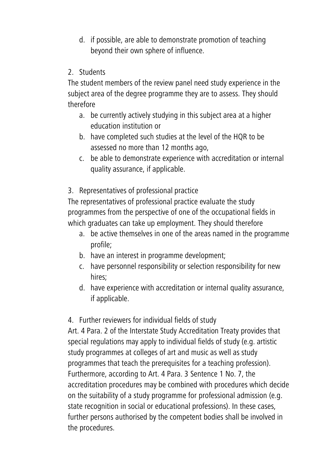- d. if possible, are able to demonstrate promotion of teaching beyond their own sphere of influence.
- 2. Students

The student members of the review panel need study experience in the subject area of the degree programme they are to assess. They should therefore

- a. be currently actively studying in this subject area at a higher education institution or
- b. have completed such studies at the level of the HQR to be assessed no more than 12 months ago,
- c. be able to demonstrate experience with accreditation or internal quality assurance, if applicable.
- 3. Representatives of professional practice

The representatives of professional practice evaluate the study programmes from the perspective of one of the occupational fields in which graduates can take up employment. They should therefore

- a. be active themselves in one of the areas named in the programme profile;
- b. have an interest in programme development;
- c. have personnel responsibility or selection responsibility for new hires;
- d. have experience with accreditation or internal quality assurance, if applicable.

#### 4. Further reviewers for individual fields of study

Art. 4 Para. 2 of the Interstate Study Accreditation Treaty provides that special regulations may apply to individual fields of study (e.g. artistic study programmes at colleges of art and music as well as study programmes that teach the prerequisites for a teaching profession). Furthermore, according to Art. 4 Para. 3 Sentence 1 No. 7, the accreditation procedures may be combined with procedures which decide on the suitability of a study programme for professional admission (e.g. state recognition in social or educational professions). In these cases, further persons authorised by the competent bodies shall be involved in the procedures.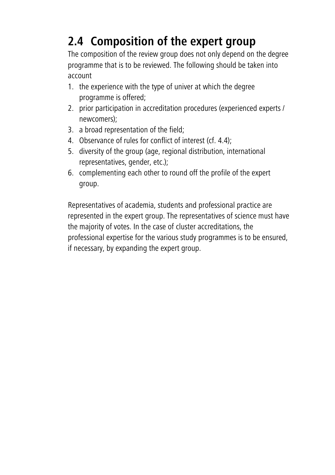## <span id="page-8-0"></span>**2.4 Composition of the expert group**

The composition of the review group does not only depend on the degree programme that is to be reviewed. The following should be taken into account

- 1. the experience with the type of univer at which the degree programme is offered;
- 2. prior participation in accreditation procedures (experienced experts / newcomers);
- 3. a broad representation of the field;
- 4. Observance of rules for conflict of interest (cf. 4.4);
- 5. diversity of the group (age, regional distribution, international representatives, gender, etc.);
- 6. complementing each other to round off the profile of the expert group.

Representatives of academia, students and professional practice are represented in the expert group. The representatives of science must have the majority of votes. In the case of cluster accreditations, the professional expertise for the various study programmes is to be ensured, if necessary, by expanding the expert group.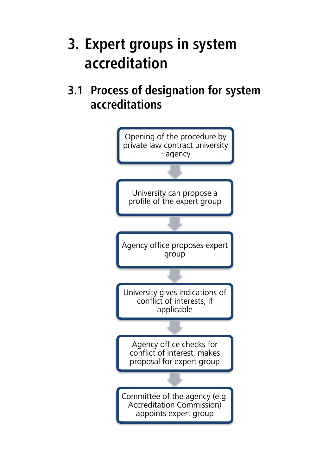## <span id="page-9-0"></span>**3. Expert groups in system accreditation**

### <span id="page-9-1"></span>**3.1 Process of designation for system accreditations**

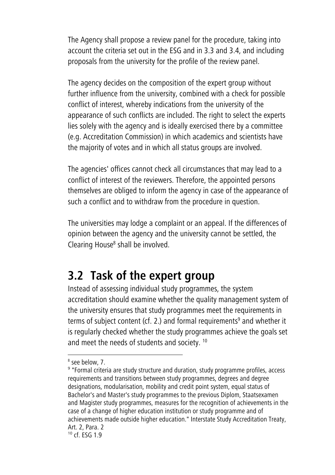The Agency shall propose a review panel for the procedure, taking into account the criteria set out in the ESG and in 3.3 and 3.4, and including proposals from the university for the profile of the review panel.

The agency decides on the composition of the expert group without further influence from the university, combined with a check for possible conflict of interest, whereby indications from the university of the appearance of such conflicts are included. The right to select the experts lies solely with the agency and is ideally exercised there by a committee (e.g. Accreditation Commission) in which academics and scientists have the majority of votes and in which all status groups are involved.

The agencies' offices cannot check all circumstances that may lead to a conflict of interest of the reviewers. Therefore, the appointed persons themselves are obliged to inform the agency in case of the appearance of such a conflict and to withdraw from the procedure in question.

The universities may lodge a complaint or an appeal. If the differences of opinion between the agency and the university cannot be settled, the Clearing House<sup>8</sup> shall be involved.

### <span id="page-10-0"></span>**3.2 Task of the expert group**

Instead of assessing individual study programmes, the system accreditation should examine whether the quality management system of the university ensures that study programmes meet the requirements in terms of subject content (cf. 2.) and formal requirements<sup>9</sup> and whether it is regularly checked whether the study programmes achieve the goals set and meet the needs of students and society. <sup>10</sup>

<sup>8</sup> see below, 7.

<sup>&</sup>lt;sup>9</sup> "Formal criteria are study structure and duration, study programme profiles, access requirements and transitions between study programmes, degrees and degree designations, modularisation, mobility and credit point system, equal status of Bachelor's and Master's study programmes to the previous Diplom, Staatsexamen and Magister study programmes, measures for the recognition of achievements in the case of a change of higher education institution or study programme and of achievements made outside higher education." Interstate Study Accreditation Treaty, Art. 2, Para. 2

<sup>10</sup> cf. ESG 1.9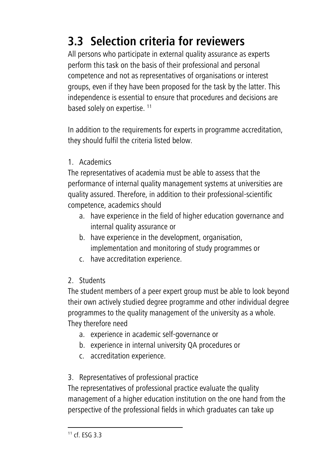## <span id="page-11-0"></span>**3.3 Selection criteria for reviewers**

All persons who participate in external quality assurance as experts perform this task on the basis of their professional and personal competence and not as representatives of organisations or interest groups, even if they have been proposed for the task by the latter. This independence is essential to ensure that procedures and decisions are based solely on expertise.<sup>11</sup>

In addition to the requirements for experts in programme accreditation, they should fulfil the criteria listed below.

1. Academics

The representatives of academia must be able to assess that the performance of internal quality management systems at universities are quality assured. Therefore, in addition to their professional-scientific competence, academics should

- a. have experience in the field of higher education governance and internal quality assurance or
- b. have experience in the development, organisation, implementation and monitoring of study programmes or
- c. have accreditation experience.
- 2. Students

The student members of a peer expert group must be able to look beyond their own actively studied degree programme and other individual degree programmes to the quality management of the university as a whole. They therefore need

- a. experience in academic self-governance or
- b. experience in internal university QA procedures or
- c. accreditation experience.

### 3. Representatives of professional practice

The representatives of professional practice evaluate the quality management of a higher education institution on the one hand from the perspective of the professional fields in which graduates can take up

 $11$  cf. FSG 3.3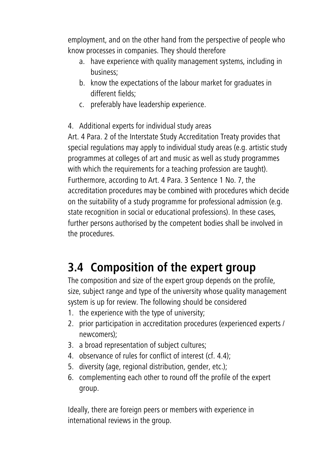employment, and on the other hand from the perspective of people who know processes in companies. They should therefore

- a. have experience with quality management systems, including in business;
- b. know the expectations of the labour market for graduates in different fields;
- c. preferably have leadership experience.
- 4. Additional experts for individual study areas

Art. 4 Para. 2 of the Interstate Study Accreditation Treaty provides that special regulations may apply to individual study areas (e.g. artistic study programmes at colleges of art and music as well as study programmes with which the requirements for a teaching profession are taught). Furthermore, according to Art. 4 Para. 3 Sentence 1 No. 7, the accreditation procedures may be combined with procedures which decide on the suitability of a study programme for professional admission (e.g. state recognition in social or educational professions). In these cases, further persons authorised by the competent bodies shall be involved in the procedures.

## <span id="page-12-0"></span>**3.4 Composition of the expert group**

The composition and size of the expert group depends on the profile, size, subject range and type of the university whose quality management system is up for review. The following should be considered

- 1. the experience with the type of university;
- 2. prior participation in accreditation procedures (experienced experts / newcomers);
- 3. a broad representation of subject cultures;
- 4. observance of rules for conflict of interest (cf. 4.4);
- 5. diversity (age, regional distribution, gender, etc.);
- 6. complementing each other to round off the profile of the expert group.

Ideally, there are foreign peers or members with experience in international reviews in the group.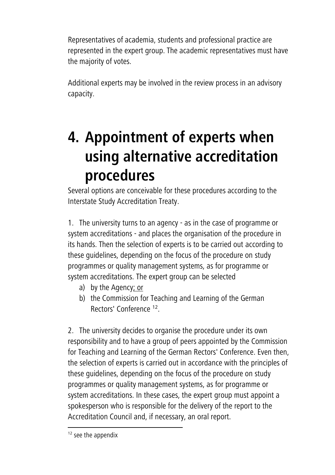Representatives of academia, students and professional practice are represented in the expert group. The academic representatives must have the majority of votes.

Additional experts may be involved in the review process in an advisory capacity.

## <span id="page-13-0"></span>**4. Appointment of experts when using alternative accreditation procedures**

Several options are conceivable for these procedures according to the Interstate Study Accreditation Treaty.

1. The university turns to an agency - as in the case of programme or system accreditations - and places the organisation of the procedure in its hands. Then the selection of experts is to be carried out according to these guidelines, depending on the focus of the procedure on study programmes or quality management systems, as for programme or system accreditations. The expert group can be selected

- a) by the Agency; or
- b) the Commission for Teaching and Learning of the German Rectors' Conference <sup>12</sup>.

2. The university decides to organise the procedure under its own responsibility and to have a group of peers appointed by the Commission for Teaching and Learning of the German Rectors' Conference. Even then, the selection of experts is carried out in accordance with the principles of these guidelines, depending on the focus of the procedure on study programmes or quality management systems, as for programme or system accreditations. In these cases, the expert group must appoint a spokesperson who is responsible for the delivery of the report to the Accreditation Council and, if necessary, an oral report.

<sup>&</sup>lt;sup>12</sup> see the appendix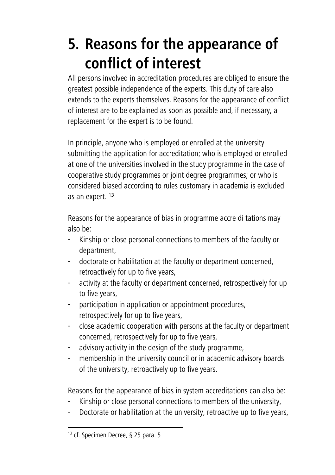# <span id="page-14-0"></span>**5. Reasons for the appearance of conflict of interest**

All persons involved in accreditation procedures are obliged to ensure the greatest possible independence of the experts. This duty of care also extends to the experts themselves. Reasons for the appearance of conflict of interest are to be explained as soon as possible and, if necessary, a replacement for the expert is to be found.

In principle, anyone who is employed or enrolled at the university submitting the application for accreditation; who is employed or enrolled at one of the universities involved in the study programme in the case of cooperative study programmes or joint degree programmes; or who is considered biased according to rules customary in academia is excluded as an expert. <sup>13</sup>

Reasons for the appearance of bias in programme accre di tations may also be:

- Kinship or close personal connections to members of the faculty or department,
- doctorate or habilitation at the faculty or department concerned, retroactively for up to five years,
- activity at the faculty or department concerned, retrospectively for up to five years,
- participation in application or appointment procedures, retrospectively for up to five years,
- close academic cooperation with persons at the faculty or department concerned, retrospectively for up to five years,
- advisory activity in the design of the study programme,
- membership in the university council or in academic advisory boards of the university, retroactively up to five years.

Reasons for the appearance of bias in system accreditations can also be:

- Kinship or close personal connections to members of the university,
- Doctorate or habilitation at the university, retroactive up to five years,

<sup>13</sup> cf. Specimen Decree, § 25 para. 5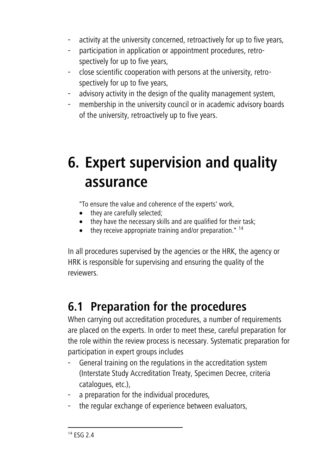- activity at the university concerned, retroactively for up to five years,
- participation in application or appointment procedures, retrospectively for up to five years,
- close scientific cooperation with persons at the university, retrospectively for up to five years,
- advisory activity in the design of the quality management system,
- membership in the university council or in academic advisory boards of the university, retroactively up to five years.

## <span id="page-15-0"></span>**6. Expert supervision and quality assurance**

"To ensure the value and coherence of the experts' work,

- they are carefully selected;
- they have the necessary skills and are qualified for their task;
- $\bullet$  they receive appropriate training and/or preparation."  $^{14}$

In all procedures supervised by the agencies or the HRK, the agency or HRK is responsible for supervising and ensuring the quality of the reviewers.

## <span id="page-15-1"></span>**6.1 Preparation for the procedures**

When carrying out accreditation procedures, a number of requirements are placed on the experts. In order to meet these, careful preparation for the role within the review process is necessary. Systematic preparation for participation in expert groups includes

- General training on the regulations in the accreditation system (Interstate Study Accreditation Treaty, Specimen Decree, criteria catalogues, etc.),
- a preparation for the individual procedures,
- the regular exchange of experience between evaluators,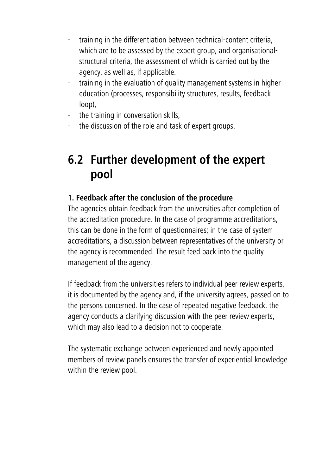- training in the differentiation between technical-content criteria, which are to be assessed by the expert group, and organisationalstructural criteria, the assessment of which is carried out by the agency, as well as, if applicable.
- training in the evaluation of quality management systems in higher education (processes, responsibility structures, results, feedback loop),
- the training in conversation skills,
- the discussion of the role and task of expert groups.

### <span id="page-16-0"></span>**6.2 Further development of the expert pool**

### **1. Feedback after the conclusion of the procedure**

The agencies obtain feedback from the universities after completion of the accreditation procedure. In the case of programme accreditations, this can be done in the form of questionnaires; in the case of system accreditations, a discussion between representatives of the university or the agency is recommended. The result feed back into the quality management of the agency.

If feedback from the universities refers to individual peer review experts, it is documented by the agency and, if the university agrees, passed on to the persons concerned. In the case of repeated negative feedback, the agency conducts a clarifying discussion with the peer review experts, which may also lead to a decision not to cooperate.

The systematic exchange between experienced and newly appointed members of review panels ensures the transfer of experiential knowledge within the review pool.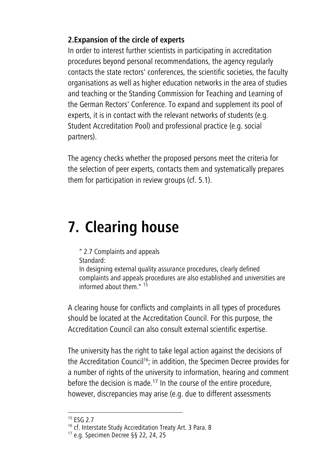### **2.Expansion of the circle of experts**

In order to interest further scientists in participating in accreditation procedures beyond personal recommendations, the agency regularly contacts the state rectors' conferences, the scientific societies, the faculty organisations as well as higher education networks in the area of studies and teaching or the Standing Commission for Teaching and Learning of the German Rectors' Conference. To expand and supplement its pool of experts, it is in contact with the relevant networks of students (e.g. Student Accreditation Pool) and professional practice (e.g. social partners).

The agency checks whether the proposed persons meet the criteria for the selection of peer experts, contacts them and systematically prepares them for participation in review groups (cf. 5.1).

# <span id="page-17-0"></span>**7. Clearing house**

" 2.7 Complaints and appeals Standard:

In designing external quality assurance procedures, clearly defined complaints and appeals procedures are also established and universities are informed about them." <sup>15</sup>

A clearing house for conflicts and complaints in all types of procedures should be located at the Accreditation Council. For this purpose, the Accreditation Council can also consult external scientific expertise.

The university has the right to take legal action against the decisions of the Accreditation Council<sup>16</sup>; in addition, the Specimen Decree provides for a number of rights of the university to information, hearing and comment before the decision is made.<sup>17</sup> In the course of the entire procedure, however, discrepancies may arise (e.g. due to different assessments

 $15$  FSG 2.7

<sup>&</sup>lt;sup>16</sup> cf. Interstate Study Accreditation Treaty Art. 3 Para. 8

<sup>17</sup> e.g. Specimen Decree §§ 22, 24, 25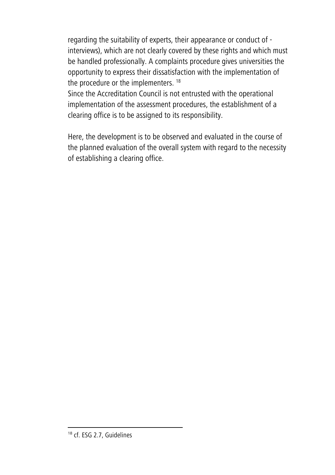regarding the suitability of experts, their appearance or conduct of interviews), which are not clearly covered by these rights and which must be handled professionally. A complaints procedure gives universities the opportunity to express their dissatisfaction with the implementation of the procedure or the implementers. <sup>18</sup>

Since the Accreditation Council is not entrusted with the operational implementation of the assessment procedures, the establishment of a clearing office is to be assigned to its responsibility.

<span id="page-18-0"></span>Here, the development is to be observed and evaluated in the course of the planned evaluation of the overall system with regard to the necessity of establishing a clearing office.

<sup>&</sup>lt;sup>18</sup> cf. ESG 2.7, Guidelines